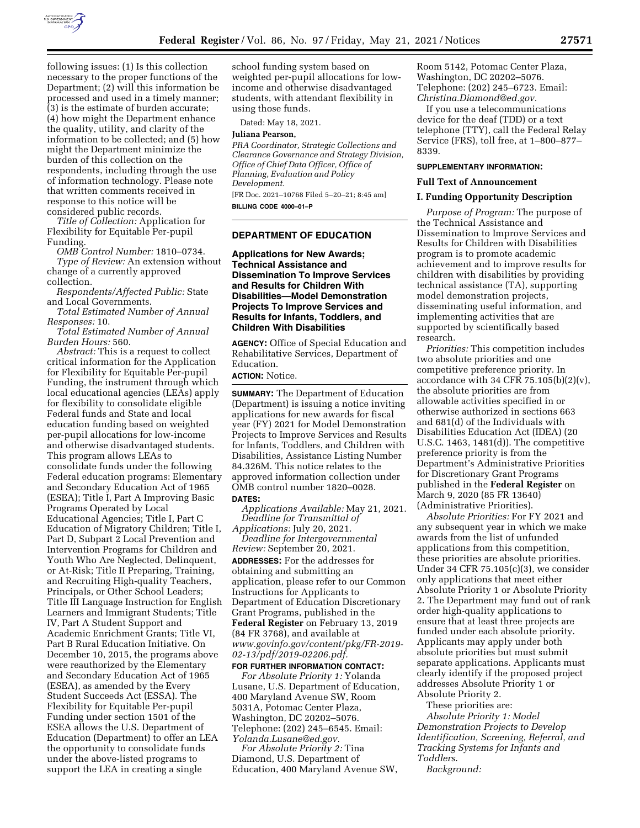

following issues: (1) Is this collection necessary to the proper functions of the Department; (2) will this information be processed and used in a timely manner; (3) is the estimate of burden accurate; (4) how might the Department enhance the quality, utility, and clarity of the information to be collected; and (5) how might the Department minimize the burden of this collection on the respondents, including through the use of information technology. Please note that written comments received in response to this notice will be considered public records.

*Title of Collection:* Application for Flexibility for Equitable Per-pupil Funding.

*OMB Control Number:* 1810–0734.

*Type of Review:* An extension without change of a currently approved collection.

*Respondents/Affected Public:* State and Local Governments.

*Total Estimated Number of Annual Responses:* 10.

*Total Estimated Number of Annual Burden Hours:* 560.

*Abstract:* This is a request to collect critical information for the Application for Flexibility for Equitable Per-pupil Funding, the instrument through which local educational agencies (LEAs) apply for flexibility to consolidate eligible Federal funds and State and local education funding based on weighted per-pupil allocations for low-income and otherwise disadvantaged students. This program allows LEAs to consolidate funds under the following Federal education programs: Elementary and Secondary Education Act of 1965 (ESEA); Title I, Part A Improving Basic Programs Operated by Local Educational Agencies; Title I, Part C Education of Migratory Children; Title I, Part D, Subpart 2 Local Prevention and Intervention Programs for Children and Youth Who Are Neglected, Delinquent, or At-Risk; Title II Preparing, Training, and Recruiting High-quality Teachers, Principals, or Other School Leaders; Title III Language Instruction for English Learners and Immigrant Students; Title IV, Part A Student Support and Academic Enrichment Grants; Title VI, Part B Rural Education Initiative. On December 10, 2015, the programs above were reauthorized by the Elementary and Secondary Education Act of 1965 (ESEA), as amended by the Every Student Succeeds Act (ESSA). The Flexibility for Equitable Per-pupil Funding under section 1501 of the ESEA allows the U.S. Department of Education (Department) to offer an LEA the opportunity to consolidate funds under the above-listed programs to support the LEA in creating a single

school funding system based on weighted per-pupil allocations for lowincome and otherwise disadvantaged students, with attendant flexibility in using those funds.

Dated: May 18, 2021.

**Juliana Pearson,** 

*PRA Coordinator, Strategic Collections and Clearance Governance and Strategy Division, Office of Chief Data Officer, Office of Planning, Evaluation and Policy Development.* 

[FR Doc. 2021–10768 Filed 5–20–21; 8:45 am] **BILLING CODE 4000–01–P** 

# **DEPARTMENT OF EDUCATION**

**Applications for New Awards; Technical Assistance and Dissemination To Improve Services and Results for Children With Disabilities—Model Demonstration Projects To Improve Services and Results for Infants, Toddlers, and Children With Disabilities** 

**AGENCY:** Office of Special Education and Rehabilitative Services, Department of Education.

**ACTION:** Notice.

**SUMMARY:** The Department of Education (Department) is issuing a notice inviting applications for new awards for fiscal year (FY) 2021 for Model Demonstration Projects to Improve Services and Results for Infants, Toddlers, and Children with Disabilities, Assistance Listing Number 84.326M. This notice relates to the approved information collection under OMB control number 1820–0028. **DATES:** 

*Applications Available:* May 21, 2021. *Deadline for Transmittal of* 

*Applications:* July 20, 2021. *Deadline for Intergovernmental Review:* September 20, 2021. **ADDRESSES:** For the addresses for obtaining and submitting an application, please refer to our Common Instructions for Applicants to Department of Education Discretionary Grant Programs, published in the **Federal Register** on February 13, 2019 (84 FR 3768), and available at *[www.govinfo.gov/content/pkg/FR-2019-](http://www.govinfo.gov/content/pkg/FR-2019-02-13/pdf/2019-02206.pdf) [02-13/pdf/2019-02206.pdf.](http://www.govinfo.gov/content/pkg/FR-2019-02-13/pdf/2019-02206.pdf)* 

**FOR FURTHER INFORMATION CONTACT:**  *For Absolute Priority 1:* Yolanda Lusane, U.S. Department of Education, 400 Maryland Avenue SW, Room 5031A, Potomac Center Plaza, Washington, DC 20202–5076. Telephone: (202) 245–6545. Email: *[Yolanda.Lusane@ed.gov.](mailto:Yolanda.Lusane@ed.gov)* 

*For Absolute Priority 2:* Tina Diamond, U.S. Department of Education, 400 Maryland Avenue SW, Room 5142, Potomac Center Plaza, Washington, DC 20202–5076. Telephone: (202) 245–6723. Email: *[Christina.Diamond@ed.gov.](mailto:Christina.Diamond@ed.gov)* 

If you use a telecommunications device for the deaf (TDD) or a text telephone (TTY), call the Federal Relay Service (FRS), toll free, at 1–800–877– 8339.

## **SUPPLEMENTARY INFORMATION:**

# **Full Text of Announcement**

#### **I. Funding Opportunity Description**

*Purpose of Program:* The purpose of the Technical Assistance and Dissemination to Improve Services and Results for Children with Disabilities program is to promote academic achievement and to improve results for children with disabilities by providing technical assistance (TA), supporting model demonstration projects, disseminating useful information, and implementing activities that are supported by scientifically based research.

*Priorities:* This competition includes two absolute priorities and one competitive preference priority. In accordance with 34 CFR 75.105 $(b)(2)(v)$ , the absolute priorities are from allowable activities specified in or otherwise authorized in sections 663 and 681(d) of the Individuals with Disabilities Education Act (IDEA) (20 U.S.C. 1463, 1481(d)). The competitive preference priority is from the Department's Administrative Priorities for Discretionary Grant Programs published in the **Federal Register** on March 9, 2020 (85 FR 13640) (Administrative Priorities).

*Absolute Priorities:* For FY 2021 and any subsequent year in which we make awards from the list of unfunded applications from this competition, these priorities are absolute priorities. Under 34 CFR 75.105(c)(3), we consider only applications that meet either Absolute Priority 1 or Absolute Priority 2. The Department may fund out of rank order high-quality applications to ensure that at least three projects are funded under each absolute priority. Applicants may apply under both absolute priorities but must submit separate applications. Applicants must clearly identify if the proposed project addresses Absolute Priority 1 or Absolute Priority 2.

These priorities are:

*Absolute Priority 1: Model Demonstration Projects to Develop Identification, Screening, Referral, and Tracking Systems for Infants and Toddlers*.

*Background:*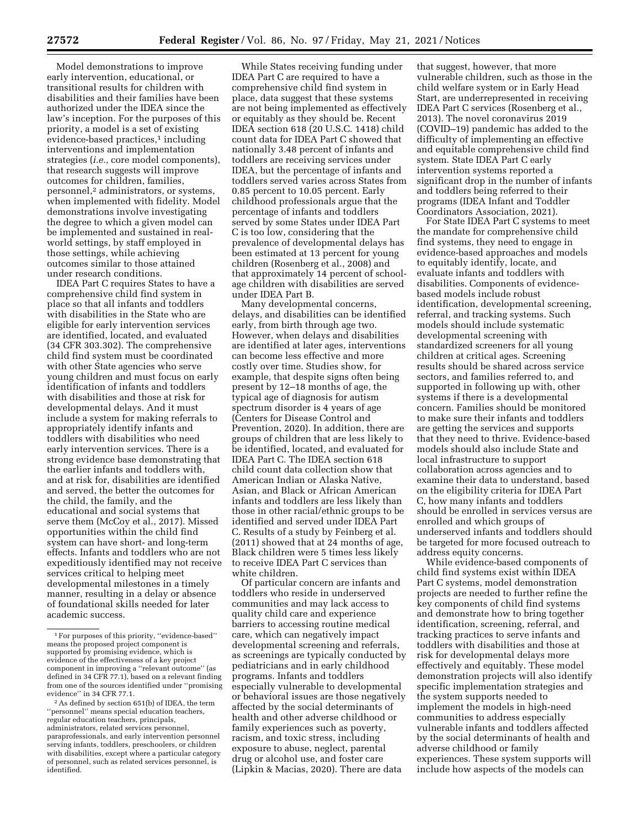Model demonstrations to improve early intervention, educational, or transitional results for children with disabilities and their families have been authorized under the IDEA since the law's inception. For the purposes of this priority, a model is a set of existing evidence-based practices,<sup>1</sup> including interventions and implementation strategies (*i.e.,* core model components), that research suggests will improve outcomes for children, families, personnel,2 administrators, or systems, when implemented with fidelity. Model demonstrations involve investigating the degree to which a given model can be implemented and sustained in realworld settings, by staff employed in those settings, while achieving outcomes similar to those attained under research conditions.

IDEA Part C requires States to have a comprehensive child find system in place so that all infants and toddlers with disabilities in the State who are eligible for early intervention services are identified, located, and evaluated (34 CFR 303.302). The comprehensive child find system must be coordinated with other State agencies who serve young children and must focus on early identification of infants and toddlers with disabilities and those at risk for developmental delays. And it must include a system for making referrals to appropriately identify infants and toddlers with disabilities who need early intervention services. There is a strong evidence base demonstrating that the earlier infants and toddlers with, and at risk for, disabilities are identified and served, the better the outcomes for the child, the family, and the educational and social systems that serve them (McCoy et al., 2017). Missed opportunities within the child find system can have short- and long-term effects. Infants and toddlers who are not expeditiously identified may not receive services critical to helping meet developmental milestones in a timely manner, resulting in a delay or absence of foundational skills needed for later academic success.

While States receiving funding under IDEA Part C are required to have a comprehensive child find system in place, data suggest that these systems are not being implemented as effectively or equitably as they should be. Recent IDEA section 618 (20 U.S.C. 1418) child count data for IDEA Part C showed that nationally 3.48 percent of infants and toddlers are receiving services under IDEA, but the percentage of infants and toddlers served varies across States from 0.85 percent to 10.05 percent. Early childhood professionals argue that the percentage of infants and toddlers served by some States under IDEA Part C is too low, considering that the prevalence of developmental delays has been estimated at 13 percent for young children (Rosenberg et al., 2008) and that approximately 14 percent of schoolage children with disabilities are served under IDEA Part B.

Many developmental concerns, delays, and disabilities can be identified early, from birth through age two. However, when delays and disabilities are identified at later ages, interventions can become less effective and more costly over time. Studies show, for example, that despite signs often being present by 12–18 months of age, the typical age of diagnosis for autism spectrum disorder is 4 years of age (Centers for Disease Control and Prevention, 2020). In addition, there are groups of children that are less likely to be identified, located, and evaluated for IDEA Part C. The IDEA section 618 child count data collection show that American Indian or Alaska Native, Asian, and Black or African American infants and toddlers are less likely than those in other racial/ethnic groups to be identified and served under IDEA Part C. Results of a study by Feinberg et al. (2011) showed that at 24 months of age, Black children were 5 times less likely to receive IDEA Part C services than white children.

Of particular concern are infants and toddlers who reside in underserved communities and may lack access to quality child care and experience barriers to accessing routine medical care, which can negatively impact developmental screening and referrals, as screenings are typically conducted by pediatricians and in early childhood programs. Infants and toddlers especially vulnerable to developmental or behavioral issues are those negatively affected by the social determinants of health and other adverse childhood or family experiences such as poverty, racism, and toxic stress, including exposure to abuse, neglect, parental drug or alcohol use, and foster care (Lipkin & Macias, 2020). There are data

that suggest, however, that more vulnerable children, such as those in the child welfare system or in Early Head Start, are underrepresented in receiving IDEA Part C services (Rosenberg et al., 2013). The novel coronavirus 2019 (COVID–19) pandemic has added to the difficulty of implementing an effective and equitable comprehensive child find system. State IDEA Part C early intervention systems reported a significant drop in the number of infants and toddlers being referred to their programs (IDEA Infant and Toddler Coordinators Association, 2021).

For State IDEA Part C systems to meet the mandate for comprehensive child find systems, they need to engage in evidence-based approaches and models to equitably identify, locate, and evaluate infants and toddlers with disabilities. Components of evidencebased models include robust identification, developmental screening, referral, and tracking systems. Such models should include systematic developmental screening with standardized screeners for all young children at critical ages. Screening results should be shared across service sectors, and families referred to, and supported in following up with, other systems if there is a developmental concern. Families should be monitored to make sure their infants and toddlers are getting the services and supports that they need to thrive. Evidence-based models should also include State and local infrastructure to support collaboration across agencies and to examine their data to understand, based on the eligibility criteria for IDEA Part C, how many infants and toddlers should be enrolled in services versus are enrolled and which groups of underserved infants and toddlers should be targeted for more focused outreach to address equity concerns.

While evidence-based components of child find systems exist within IDEA Part C systems, model demonstration projects are needed to further refine the key components of child find systems and demonstrate how to bring together identification, screening, referral, and tracking practices to serve infants and toddlers with disabilities and those at risk for developmental delays more effectively and equitably. These model demonstration projects will also identify specific implementation strategies and the system supports needed to implement the models in high-need communities to address especially vulnerable infants and toddlers affected by the social determinants of health and adverse childhood or family experiences. These system supports will include how aspects of the models can

<sup>1</sup>For purposes of this priority, ''evidence-based'' means the proposed project component is supported by promising evidence, which is evidence of the effectiveness of a key project component in improving a ''relevant outcome'' (as defined in 34 CFR 77.1), based on a relevant finding from one of the sources identified under ''promising evidence'' in 34 CFR 77.1.

<sup>2</sup>As defined by section 651(b) of IDEA, the term ''personnel'' means special education teachers, regular education teachers, principals, administrators, related services personnel, paraprofessionals, and early intervention personnel serving infants, toddlers, preschoolers, or children with disabilities, except where a particular category of personnel, such as related services personnel, is identified.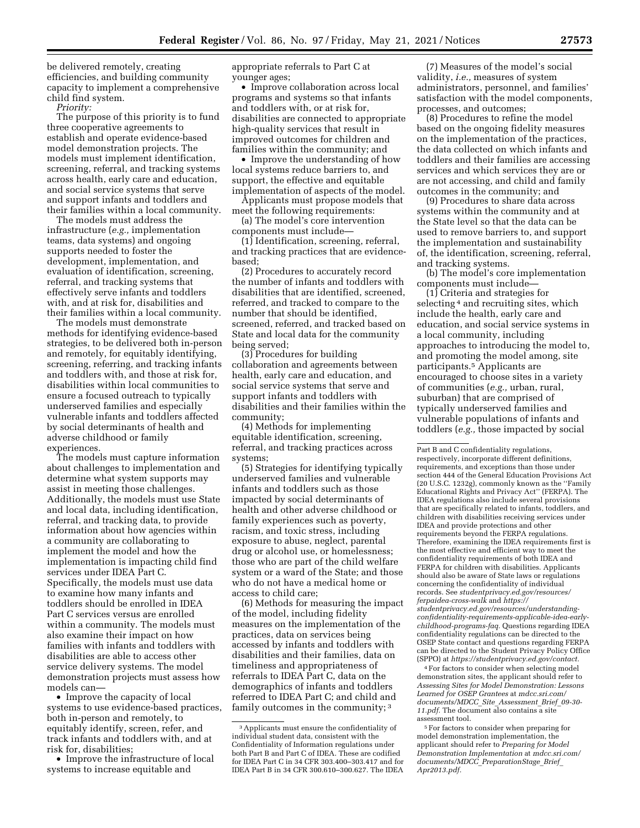be delivered remotely, creating efficiencies, and building community capacity to implement a comprehensive child find system.

*Priority:* 

The purpose of this priority is to fund three cooperative agreements to establish and operate evidence-based model demonstration projects. The models must implement identification, screening, referral, and tracking systems across health, early care and education, and social service systems that serve and support infants and toddlers and their families within a local community.

The models must address the infrastructure (*e.g.,* implementation teams, data systems) and ongoing supports needed to foster the development, implementation, and evaluation of identification, screening, referral, and tracking systems that effectively serve infants and toddlers with, and at risk for, disabilities and their families within a local community.

The models must demonstrate methods for identifying evidence-based strategies, to be delivered both in-person and remotely, for equitably identifying, screening, referring, and tracking infants and toddlers with, and those at risk for, disabilities within local communities to ensure a focused outreach to typically underserved families and especially vulnerable infants and toddlers affected by social determinants of health and adverse childhood or family experiences.

The models must capture information about challenges to implementation and determine what system supports may assist in meeting those challenges. Additionally, the models must use State and local data, including identification, referral, and tracking data, to provide information about how agencies within a community are collaborating to implement the model and how the implementation is impacting child find services under IDEA Part C. Specifically, the models must use data to examine how many infants and toddlers should be enrolled in IDEA Part C services versus are enrolled within a community. The models must also examine their impact on how families with infants and toddlers with disabilities are able to access other service delivery systems. The model demonstration projects must assess how models can—

• Improve the capacity of local systems to use evidence-based practices, both in-person and remotely, to equitably identify, screen, refer, and track infants and toddlers with, and at risk for, disabilities;

• Improve the infrastructure of local systems to increase equitable and

appropriate referrals to Part C at younger ages;

• Improve collaboration across local programs and systems so that infants and toddlers with, or at risk for, disabilities are connected to appropriate high-quality services that result in improved outcomes for children and families within the community; and

• Improve the understanding of how local systems reduce barriers to, and support, the effective and equitable implementation of aspects of the model.

Applicants must propose models that meet the following requirements:

(a) The model's core intervention components must include—

(1) Identification, screening, referral, and tracking practices that are evidencebased;

(2) Procedures to accurately record the number of infants and toddlers with disabilities that are identified, screened, referred, and tracked to compare to the number that should be identified, screened, referred, and tracked based on State and local data for the community being served;

(3) Procedures for building collaboration and agreements between health, early care and education, and social service systems that serve and support infants and toddlers with disabilities and their families within the community;

(4) Methods for implementing equitable identification, screening, referral, and tracking practices across systems;

(5) Strategies for identifying typically underserved families and vulnerable infants and toddlers such as those impacted by social determinants of health and other adverse childhood or family experiences such as poverty, racism, and toxic stress, including exposure to abuse, neglect, parental drug or alcohol use, or homelessness; those who are part of the child welfare system or a ward of the State; and those who do not have a medical home or access to child care;

(6) Methods for measuring the impact of the model, including fidelity measures on the implementation of the practices, data on services being accessed by infants and toddlers with disabilities and their families, data on timeliness and appropriateness of referrals to IDEA Part C, data on the demographics of infants and toddlers referred to IDEA Part C; and child and family outcomes in the community; 3

(7) Measures of the model's social validity, *i.e.,* measures of system administrators, personnel, and families' satisfaction with the model components, processes, and outcomes;

(8) Procedures to refine the model based on the ongoing fidelity measures on the implementation of the practices, the data collected on which infants and toddlers and their families are accessing services and which services they are or are not accessing, and child and family outcomes in the community; and

(9) Procedures to share data across systems within the community and at the State level so that the data can be used to remove barriers to, and support the implementation and sustainability of, the identification, screening, referral, and tracking systems.

(b) The model's core implementation components must include—

(1) Criteria and strategies for selecting<sup>4</sup> and recruiting sites, which include the health, early care and education, and social service systems in a local community, including approaches to introducing the model to, and promoting the model among, site participants.5 Applicants are encouraged to choose sites in a variety of communities (*e.g.,* urban, rural, suburban) that are comprised of typically underserved families and vulnerable populations of infants and toddlers (*e.g.,* those impacted by social

4For factors to consider when selecting model demonstration sites, the applicant should refer to *Assessing Sites for Model Demonstration: Lessons Learned for OSEP Grantees* at *mdcc.sri.com/ documents/MDCC*\_*Site*\_*Assessment*\_*Brief*\_*09-30- 11.pdf.* The document also contains a site assessment tool.

5For factors to consider when preparing for model demonstration implementation, the applicant should refer to *Preparing for Model Demonstration Implementation* at *mdcc.sri.com/ documents/MDCC*\_*PreparationStage*\_*Brief*\_ *Apr2013.pdf.* 

<sup>3</sup>Applicants must ensure the confidentiality of individual student data, consistent with the Confidentiality of Information regulations under both Part B and Part C of IDEA. These are codified for IDEA Part C in 34 CFR 303.400–303.417 and for IDEA Part B in 34 CFR 300.610–300.627. The IDEA

Part B and C confidentiality regulations, respectively, incorporate different definitions, requirements, and exceptions than those under section 444 of the General Education Provisions Act (20 U.S.C. 1232g), commonly known as the ''Family Educational Rights and Privacy Act'' (FERPA). The IDEA regulations also include several provisions that are specifically related to infants, toddlers, and children with disabilities receiving services under IDEA and provide protections and other requirements beyond the FERPA regulations. Therefore, examining the IDEA requirements first is the most effective and efficient way to meet the confidentiality requirements of both IDEA and FERPA for children with disabilities. Applicants should also be aware of State laws or regulations concerning the confidentiality of individual records. See *studentprivacy.ed.gov/resources/ ferpaidea-cross-walk* and *[https://](https://studentprivacy.ed.gov/resources/understanding-confidentiality-requirements-applicable-idea-early-childhood-programs-faq) [studentprivacy.ed.gov/resources/understanding](https://studentprivacy.ed.gov/resources/understanding-confidentiality-requirements-applicable-idea-early-childhood-programs-faq)[confidentiality-requirements-applicable-idea-early](https://studentprivacy.ed.gov/resources/understanding-confidentiality-requirements-applicable-idea-early-childhood-programs-faq)[childhood-programs-faq.](https://studentprivacy.ed.gov/resources/understanding-confidentiality-requirements-applicable-idea-early-childhood-programs-faq)* Questions regarding IDEA confidentiality regulations can be directed to the OSEP State contact and questions regarding FERPA can be directed to the Student Privacy Policy Office (SPPO) at *[https://studentprivacy.ed.gov/contact.](https://studentprivacy.ed.gov/contact)*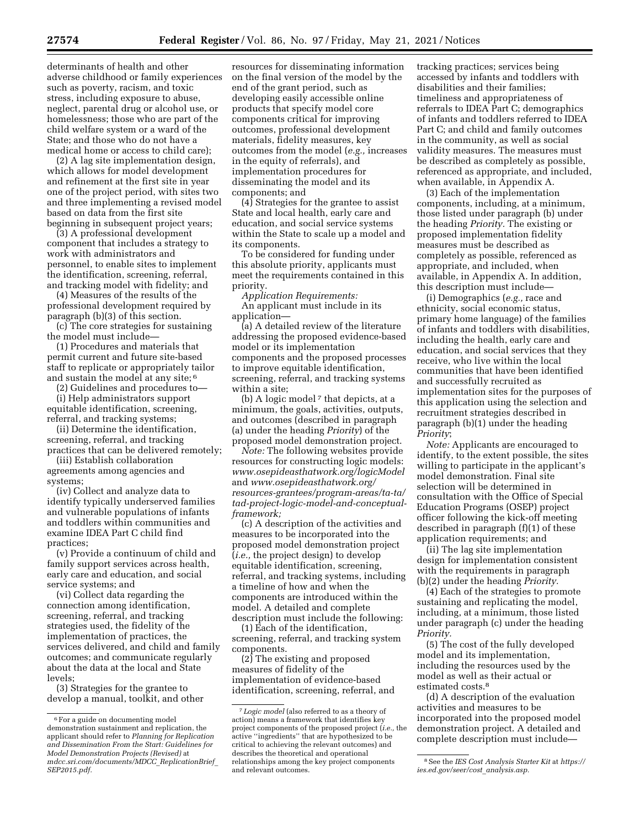determinants of health and other adverse childhood or family experiences such as poverty, racism, and toxic stress, including exposure to abuse, neglect, parental drug or alcohol use, or homelessness; those who are part of the child welfare system or a ward of the State; and those who do not have a

medical home or access to child care); (2) A lag site implementation design, which allows for model development and refinement at the first site in year one of the project period, with sites two and three implementing a revised model based on data from the first site beginning in subsequent project years;

(3) A professional development component that includes a strategy to work with administrators and personnel, to enable sites to implement the identification, screening, referral, and tracking model with fidelity; and

(4) Measures of the results of the professional development required by paragraph (b)(3) of this section.

(c) The core strategies for sustaining the model must include—

(1) Procedures and materials that permit current and future site-based staff to replicate or appropriately tailor and sustain the model at any site; 6

(2) Guidelines and procedures to—

(i) Help administrators support equitable identification, screening, referral, and tracking systems;

(ii) Determine the identification, screening, referral, and tracking practices that can be delivered remotely;

(iii) Establish collaboration agreements among agencies and systems;

(iv) Collect and analyze data to identify typically underserved families and vulnerable populations of infants and toddlers within communities and examine IDEA Part C child find practices;

(v) Provide a continuum of child and family support services across health, early care and education, and social service systems; and

(vi) Collect data regarding the connection among identification, screening, referral, and tracking strategies used, the fidelity of the implementation of practices, the services delivered, and child and family outcomes; and communicate regularly about the data at the local and State levels;

(3) Strategies for the grantee to develop a manual, toolkit, and other

resources for disseminating information on the final version of the model by the end of the grant period, such as developing easily accessible online products that specify model core components critical for improving outcomes, professional development materials, fidelity measures, key outcomes from the model (*e.g.,* increases in the equity of referrals), and implementation procedures for disseminating the model and its components; and

(4) Strategies for the grantee to assist State and local health, early care and education, and social service systems within the State to scale up a model and its components.

To be considered for funding under this absolute priority, applicants must meet the requirements contained in this priority.

*Application Requirements:*  An applicant must include in its application—

(a) A detailed review of the literature addressing the proposed evidence-based model or its implementation components and the proposed processes to improve equitable identification, screening, referral, and tracking systems within a site;

(b) A logic model 7 that depicts, at a minimum, the goals, activities, outputs, and outcomes (described in paragraph (a) under the heading *Priority*) of the proposed model demonstration project.

*Note:* The following websites provide resources for constructing logic models: *[www.osepideasthatwork.org/logicModel](http://www.osepideasthatwork.org/logicModel)*  and *[www.osepideasthatwork.org/](https://www.osepideasthatwork.org/resources-grantees/program-areas/ta-ta/tad-project-logic-model-and-conceptual-framework)  [resources-grantees/program-areas/ta-ta/](https://www.osepideasthatwork.org/resources-grantees/program-areas/ta-ta/tad-project-logic-model-and-conceptual-framework)  [tad-project-logic-model-and-conceptual](https://www.osepideasthatwork.org/resources-grantees/program-areas/ta-ta/tad-project-logic-model-and-conceptual-framework)[framework;](https://www.osepideasthatwork.org/resources-grantees/program-areas/ta-ta/tad-project-logic-model-and-conceptual-framework)* 

(c) A description of the activities and measures to be incorporated into the proposed model demonstration project (*i.e.,* the project design) to develop equitable identification, screening, referral, and tracking systems, including a timeline of how and when the components are introduced within the model. A detailed and complete description must include the following:

(1) Each of the identification, screening, referral, and tracking system components.

(2) The existing and proposed measures of fidelity of the implementation of evidence-based identification, screening, referral, and tracking practices; services being accessed by infants and toddlers with disabilities and their families; timeliness and appropriateness of referrals to IDEA Part C; demographics of infants and toddlers referred to IDEA Part C; and child and family outcomes in the community, as well as social validity measures. The measures must be described as completely as possible, referenced as appropriate, and included, when available, in Appendix A.

(3) Each of the implementation components, including, at a minimum, those listed under paragraph (b) under the heading *Priority.* The existing or proposed implementation fidelity measures must be described as completely as possible, referenced as appropriate, and included, when available, in Appendix A. In addition, this description must include—

(i) Demographics (*e.g.,* race and ethnicity, social economic status, primary home language) of the families of infants and toddlers with disabilities, including the health, early care and education, and social services that they receive, who live within the local communities that have been identified and successfully recruited as implementation sites for the purposes of this application using the selection and recruitment strategies described in paragraph (b)(1) under the heading *Priority*;

*Note:* Applicants are encouraged to identify, to the extent possible, the sites willing to participate in the applicant's model demonstration. Final site selection will be determined in consultation with the Office of Special Education Programs (OSEP) project officer following the kick-off meeting described in paragraph (f)(1) of these application requirements; and

(ii) The lag site implementation design for implementation consistent with the requirements in paragraph (b)(2) under the heading *Priority.* 

(4) Each of the strategies to promote sustaining and replicating the model, including, at a minimum, those listed under paragraph (c) under the heading *Priority.* 

(5) The cost of the fully developed model and its implementation, including the resources used by the model as well as their actual or estimated costs.8

(d) A description of the evaluation activities and measures to be incorporated into the proposed model demonstration project. A detailed and complete description must include—

<sup>6</sup>For a guide on documenting model demonstration sustainment and replication, the applicant should refer to *Planning for Replication and Dissemination From the Start: Guidelines for Model Demonstration Projects (Revised)* at *mdcc.sri.com/documents/MDCC*\_*ReplicationBrief*\_ *SEP2015.pdf.* 

<sup>7</sup> *Logic model* (also referred to as a theory of action) means a framework that identifies key project components of the proposed project (*i.e.,* the active ''ingredients'' that are hypothesized to be critical to achieving the relevant outcomes) and describes the theoretical and operational relationships among the key project components and relevant outcomes.

<sup>8</sup>See the *IES Cost Analysis Starter Kit* at *[https://](https://ies.ed.gov/seer/cost_analysis.asp) [ies.ed.gov/seer/cost](https://ies.ed.gov/seer/cost_analysis.asp)*\_*analysis.asp.*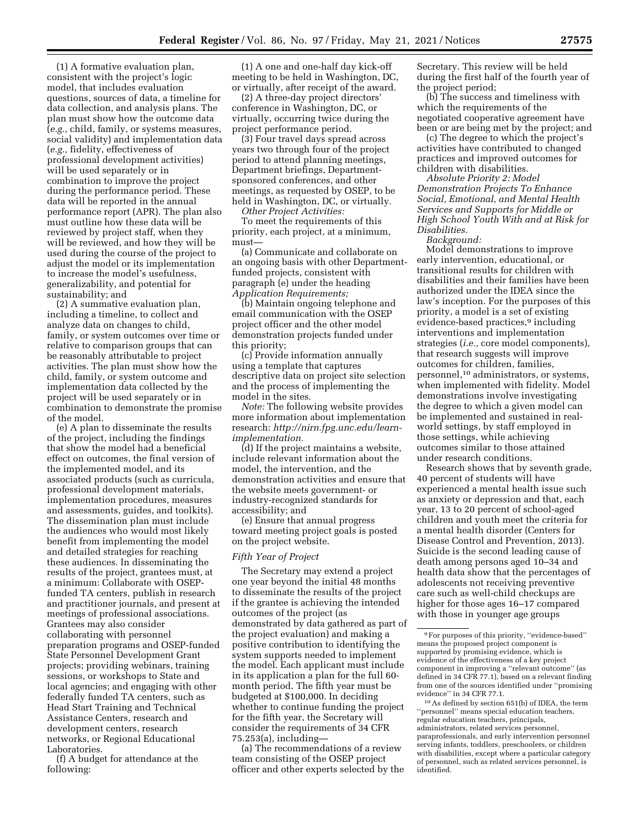(1) A formative evaluation plan, consistent with the project's logic model, that includes evaluation questions, sources of data, a timeline for data collection, and analysis plans. The plan must show how the outcome data (*e.g.,* child, family, or systems measures, social validity) and implementation data (*e.g.,* fidelity, effectiveness of professional development activities) will be used separately or in combination to improve the project during the performance period. These data will be reported in the annual performance report (APR). The plan also must outline how these data will be reviewed by project staff, when they will be reviewed, and how they will be used during the course of the project to adjust the model or its implementation to increase the model's usefulness, generalizability, and potential for sustainability; and

(2) A summative evaluation plan, including a timeline, to collect and analyze data on changes to child, family, or system outcomes over time or relative to comparison groups that can be reasonably attributable to project activities. The plan must show how the child, family, or system outcome and implementation data collected by the project will be used separately or in combination to demonstrate the promise of the model.

(e) A plan to disseminate the results of the project, including the findings that show the model had a beneficial effect on outcomes, the final version of the implemented model, and its associated products (such as curricula, professional development materials, implementation procedures, measures and assessments, guides, and toolkits). The dissemination plan must include the audiences who would most likely benefit from implementing the model and detailed strategies for reaching these audiences. In disseminating the results of the project, grantees must, at a minimum: Collaborate with OSEPfunded TA centers, publish in research and practitioner journals, and present at meetings of professional associations. Grantees may also consider collaborating with personnel preparation programs and OSEP-funded State Personnel Development Grant projects; providing webinars, training sessions, or workshops to State and local agencies; and engaging with other federally funded TA centers, such as Head Start Training and Technical Assistance Centers, research and development centers, research networks, or Regional Educational Laboratories.

(f) A budget for attendance at the following:

(1) A one and one-half day kick-off meeting to be held in Washington, DC, or virtually, after receipt of the award.

(2) A three-day project directors' conference in Washington, DC, or virtually, occurring twice during the project performance period.

(3) Four travel days spread across years two through four of the project period to attend planning meetings, Department briefings, Departmentsponsored conferences, and other meetings, as requested by OSEP, to be held in Washington, DC, or virtually. *Other Project Activities:* 

To meet the requirements of this priority, each project, at a minimum, must—

(a) Communicate and collaborate on an ongoing basis with other Departmentfunded projects, consistent with paragraph (e) under the heading *Application Requirements;* 

(b) Maintain ongoing telephone and email communication with the OSEP project officer and the other model demonstration projects funded under this priority;

(c) Provide information annually using a template that captures descriptive data on project site selection and the process of implementing the model in the sites.

*Note:* The following website provides more information about implementation research: *[http://nirn.fpg.unc.edu/learn](http://nirn.fpg.unc.edu/learn-implementation)[implementation](http://nirn.fpg.unc.edu/learn-implementation).* 

(d) If the project maintains a website, include relevant information about the model, the intervention, and the demonstration activities and ensure that the website meets government- or industry-recognized standards for accessibility; and

(e) Ensure that annual progress toward meeting project goals is posted on the project website.

#### *Fifth Year of Project*

The Secretary may extend a project one year beyond the initial 48 months to disseminate the results of the project if the grantee is achieving the intended outcomes of the project (as demonstrated by data gathered as part of the project evaluation) and making a positive contribution to identifying the system supports needed to implement the model. Each applicant must include in its application a plan for the full 60 month period. The fifth year must be budgeted at \$100,000. In deciding whether to continue funding the project for the fifth year, the Secretary will consider the requirements of 34 CFR 75.253(a), including—

(a) The recommendations of a review team consisting of the OSEP project officer and other experts selected by the Secretary. This review will be held during the first half of the fourth year of the project period;

(b) The success and timeliness with which the requirements of the negotiated cooperative agreement have been or are being met by the project; and

(c) The degree to which the project's activities have contributed to changed practices and improved outcomes for children with disabilities.

*Absolute Priority 2: Model Demonstration Projects To Enhance Social, Emotional, and Mental Health Services and Supports for Middle or High School Youth With and at Risk for Disabilities.* 

*Background:* 

Model demonstrations to improve early intervention, educational, or transitional results for children with disabilities and their families have been authorized under the IDEA since the law's inception. For the purposes of this priority, a model is a set of existing evidence-based practices,<sup>9</sup> including interventions and implementation strategies (*i.e.,* core model components), that research suggests will improve outcomes for children, families, personnel,10 administrators, or systems, when implemented with fidelity. Model demonstrations involve investigating the degree to which a given model can be implemented and sustained in realworld settings, by staff employed in those settings, while achieving outcomes similar to those attained under research conditions.

Research shows that by seventh grade, 40 percent of students will have experienced a mental health issue such as anxiety or depression and that, each year, 13 to 20 percent of school-aged children and youth meet the criteria for a mental health disorder (Centers for Disease Control and Prevention, 2013). Suicide is the second leading cause of death among persons aged 10–34 and health data show that the percentages of adolescents not receiving preventive care such as well-child checkups are higher for those ages 16–17 compared with those in younger age groups

<sup>9</sup>For purposes of this priority, ''evidence-based'' means the proposed project component is supported by promising evidence, which is evidence of the effectiveness of a key project component in improving a ''relevant outcome'' (as defined in 34 CFR 77.1), based on a relevant finding from one of the sources identified under ''promising evidence'' in 34 CFR 77.1.

<sup>10</sup>As defined by section 651(b) of IDEA, the term ''personnel'' means special education teachers, regular education teachers, principals, administrators, related services personnel, paraprofessionals, and early intervention personnel serving infants, toddlers, preschoolers, or children with disabilities, except where a particular category of personnel, such as related services personnel, is identified.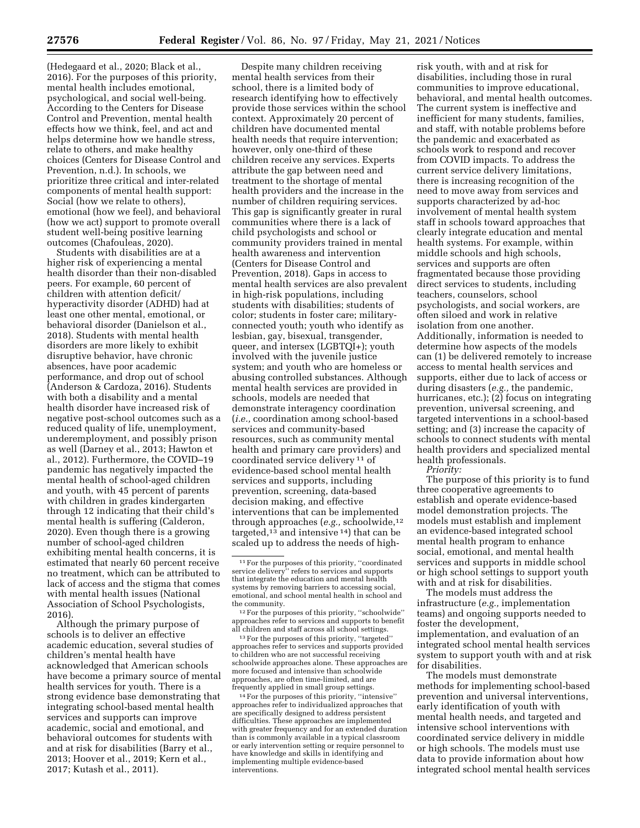(Hedegaard et al., 2020; Black et al., 2016). For the purposes of this priority, mental health includes emotional, psychological, and social well-being. According to the Centers for Disease Control and Prevention, mental health effects how we think, feel, and act and helps determine how we handle stress, relate to others, and make healthy choices (Centers for Disease Control and Prevention, n.d.). In schools, we prioritize three critical and inter-related components of mental health support: Social (how we relate to others), emotional (how we feel), and behavioral (how we act) support to promote overall student well-being positive learning outcomes (Chafouleas, 2020).

Students with disabilities are at a higher risk of experiencing a mental health disorder than their non-disabled peers. For example, 60 percent of children with attention deficit/ hyperactivity disorder (ADHD) had at least one other mental, emotional, or behavioral disorder (Danielson et al., 2018). Students with mental health disorders are more likely to exhibit disruptive behavior, have chronic absences, have poor academic performance, and drop out of school (Anderson & Cardoza, 2016). Students with both a disability and a mental health disorder have increased risk of negative post-school outcomes such as a reduced quality of life, unemployment, underemployment, and possibly prison as well (Darney et al., 2013; Hawton et al., 2012). Furthermore, the COVID–19 pandemic has negatively impacted the mental health of school-aged children and youth, with 45 percent of parents with children in grades kindergarten through 12 indicating that their child's mental health is suffering (Calderon, 2020). Even though there is a growing number of school-aged children exhibiting mental health concerns, it is estimated that nearly 60 percent receive no treatment, which can be attributed to lack of access and the stigma that comes with mental health issues (National Association of School Psychologists, 2016).

Although the primary purpose of schools is to deliver an effective academic education, several studies of children's mental health have acknowledged that American schools have become a primary source of mental health services for youth. There is a strong evidence base demonstrating that integrating school-based mental health services and supports can improve academic, social and emotional, and behavioral outcomes for students with and at risk for disabilities (Barry et al., 2013; Hoover et al., 2019; Kern et al., 2017; Kutash et al., 2011).

Despite many children receiving mental health services from their school, there is a limited body of research identifying how to effectively provide those services within the school context. Approximately 20 percent of children have documented mental health needs that require intervention; however, only one-third of these children receive any services. Experts attribute the gap between need and treatment to the shortage of mental health providers and the increase in the number of children requiring services. This gap is significantly greater in rural communities where there is a lack of child psychologists and school or community providers trained in mental health awareness and intervention (Centers for Disease Control and Prevention, 2018). Gaps in access to mental health services are also prevalent in high-risk populations, including students with disabilities; students of color; students in foster care; militaryconnected youth; youth who identify as lesbian, gay, bisexual, transgender, queer, and intersex (LGBTQI+); youth involved with the juvenile justice system; and youth who are homeless or abusing controlled substances. Although mental health services are provided in schools, models are needed that demonstrate interagency coordination (*i.e.,* coordination among school-based services and community-based resources, such as community mental health and primary care providers) and coordinated service delivery 11 of evidence-based school mental health services and supports, including prevention, screening, data-based decision making, and effective interventions that can be implemented through approaches (*e.g.,* schoolwide,12 targeted,<sup>13</sup> and intensive<sup>14</sup>) that can be scaled up to address the needs of high-

<sup>13</sup> For the purposes of this priority, "targeted' approaches refer to services and supports provided to children who are not successful receiving schoolwide approaches alone. These approaches are more focused and intensive than schoolwide approaches, are often time-limited, and are

<sup>14</sup> For the purposes of this priority, "intensive" approaches refer to individualized approaches that are specifically designed to address persistent difficulties. These approaches are implemented with greater frequency and for an extended duration than is commonly available in a typical classroom or early intervention setting or require personnel to have knowledge and skills in identifying and implementing multiple evidence-based interventions.

risk youth, with and at risk for disabilities, including those in rural communities to improve educational, behavioral, and mental health outcomes. The current system is ineffective and inefficient for many students, families, and staff, with notable problems before the pandemic and exacerbated as schools work to respond and recover from COVID impacts. To address the current service delivery limitations, there is increasing recognition of the need to move away from services and supports characterized by ad-hoc involvement of mental health system staff in schools toward approaches that clearly integrate education and mental health systems. For example, within middle schools and high schools, services and supports are often fragmentated because those providing direct services to students, including teachers, counselors, school psychologists, and social workers, are often siloed and work in relative isolation from one another. Additionally, information is needed to determine how aspects of the models can (1) be delivered remotely to increase access to mental health services and supports, either due to lack of access or during disasters (*e.g.,* the pandemic, hurricanes, etc.); (2) focus on integrating prevention, universal screening, and targeted interventions in a school-based setting; and (3) increase the capacity of schools to connect students with mental health providers and specialized mental health professionals. *Priority:* 

The purpose of this priority is to fund three cooperative agreements to establish and operate evidence-based model demonstration projects. The models must establish and implement an evidence-based integrated school mental health program to enhance social, emotional, and mental health services and supports in middle school or high school settings to support youth with and at risk for disabilities.

The models must address the infrastructure (*e.g.,* implementation teams) and ongoing supports needed to foster the development, implementation, and evaluation of an integrated school mental health services system to support youth with and at risk for disabilities.

The models must demonstrate methods for implementing school-based prevention and universal interventions, early identification of youth with mental health needs, and targeted and intensive school interventions with coordinated service delivery in middle or high schools. The models must use data to provide information about how integrated school mental health services

<sup>11</sup>For the purposes of this priority, ''coordinated service delivery'' refers to services and supports that integrate the education and mental health systems by removing barriers to accessing social, emotional, and school mental health in school and

<sup>&</sup>lt;sup>12</sup> For the purposes of this priority, "schoolwide" approaches refer to services and supports to benefit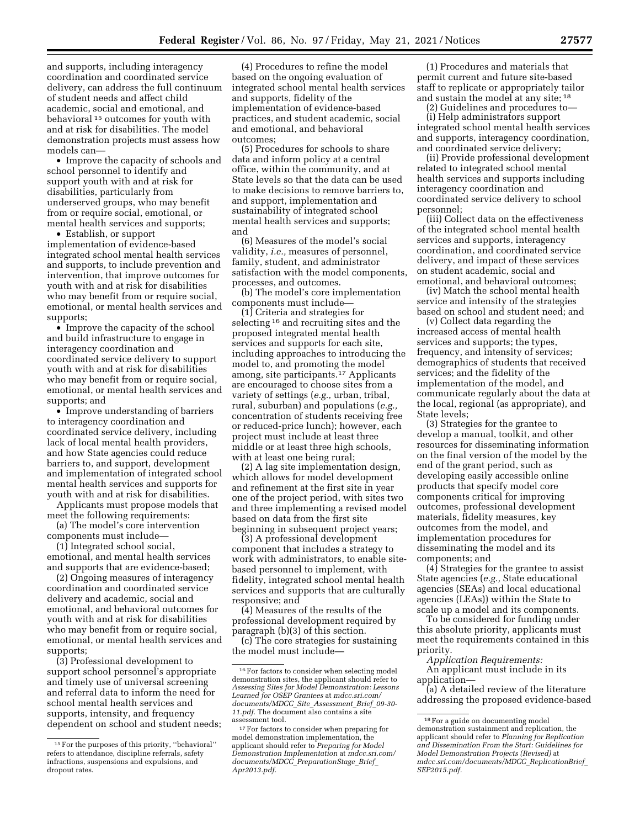and supports, including interagency coordination and coordinated service delivery, can address the full continuum of student needs and affect child academic, social and emotional, and behavioral 15 outcomes for youth with and at risk for disabilities. The model demonstration projects must assess how models can—

• Improve the capacity of schools and school personnel to identify and support youth with and at risk for disabilities, particularly from underserved groups, who may benefit from or require social, emotional, or mental health services and supports;

• Establish, or support implementation of evidence-based integrated school mental health services and supports, to include prevention and intervention, that improve outcomes for youth with and at risk for disabilities who may benefit from or require social, emotional, or mental health services and supports;

• Improve the capacity of the school and build infrastructure to engage in interagency coordination and coordinated service delivery to support youth with and at risk for disabilities who may benefit from or require social, emotional, or mental health services and supports; and

• Improve understanding of barriers to interagency coordination and coordinated service delivery, including lack of local mental health providers, and how State agencies could reduce barriers to, and support, development and implementation of integrated school mental health services and supports for youth with and at risk for disabilities.

Applicants must propose models that meet the following requirements:

(a) The model's core intervention components must include—

(1) Integrated school social, emotional, and mental health services and supports that are evidence-based;

(2) Ongoing measures of interagency coordination and coordinated service delivery and academic, social and emotional, and behavioral outcomes for youth with and at risk for disabilities who may benefit from or require social, emotional, or mental health services and supports;

(3) Professional development to support school personnel's appropriate and timely use of universal screening and referral data to inform the need for school mental health services and supports, intensity, and frequency dependent on school and student needs;

(4) Procedures to refine the model based on the ongoing evaluation of integrated school mental health services and supports, fidelity of the implementation of evidence-based practices, and student academic, social and emotional, and behavioral outcomes;

(5) Procedures for schools to share data and inform policy at a central office, within the community, and at State levels so that the data can be used to make decisions to remove barriers to, and support, implementation and sustainability of integrated school mental health services and supports; and

(6) Measures of the model's social validity, *i.e.,* measures of personnel, family, student, and administrator satisfaction with the model components, processes, and outcomes.

(b) The model's core implementation components must include—

(1) Criteria and strategies for selecting 16 and recruiting sites and the proposed integrated mental health services and supports for each site, including approaches to introducing the model to, and promoting the model among, site participants.17 Applicants are encouraged to choose sites from a variety of settings (*e.g.,* urban, tribal, rural, suburban) and populations (*e.g.,*  concentration of students receiving free or reduced-price lunch); however, each project must include at least three middle or at least three high schools, with at least one being rural;

(2) A lag site implementation design, which allows for model development and refinement at the first site in year one of the project period, with sites two and three implementing a revised model based on data from the first site beginning in subsequent project years;

(3) A professional development component that includes a strategy to work with administrators, to enable sitebased personnel to implement, with fidelity, integrated school mental health services and supports that are culturally responsive; and

(4) Measures of the results of the professional development required by paragraph (b)(3) of this section.

(c) The core strategies for sustaining the model must include—

(1) Procedures and materials that permit current and future site-based staff to replicate or appropriately tailor and sustain the model at any site; 18

(2) Guidelines and procedures to—

(i) Help administrators support integrated school mental health services and supports, interagency coordination, and coordinated service delivery;

(ii) Provide professional development related to integrated school mental health services and supports including interagency coordination and coordinated service delivery to school personnel;

(iii) Collect data on the effectiveness of the integrated school mental health services and supports, interagency coordination, and coordinated service delivery, and impact of these services on student academic, social and emotional, and behavioral outcomes;

(iv) Match the school mental health service and intensity of the strategies based on school and student need; and

(v) Collect data regarding the increased access of mental health services and supports; the types, frequency, and intensity of services; demographics of students that received services; and the fidelity of the implementation of the model, and communicate regularly about the data at the local, regional (as appropriate), and State levels;

(3) Strategies for the grantee to develop a manual, toolkit, and other resources for disseminating information on the final version of the model by the end of the grant period, such as developing easily accessible online products that specify model core components critical for improving outcomes, professional development materials, fidelity measures, key outcomes from the model, and implementation procedures for disseminating the model and its components; and

(4) Strategies for the grantee to assist State agencies (*e.g.,* State educational agencies (SEAs) and local educational agencies (LEAs)) within the State to scale up a model and its components.

To be considered for funding under this absolute priority, applicants must meet the requirements contained in this priority.

*Application Requirements:*  An applicant must include in its application—

(a) A detailed review of the literature addressing the proposed evidence-based

<sup>15</sup>For the purposes of this priority, ''behavioral'' refers to attendance, discipline referrals, safety infractions, suspensions and expulsions, and dropout rates.

<sup>16</sup>For factors to consider when selecting model demonstration sites, the applicant should refer to *Assessing Sites for Model Demonstration: Lessons Learned for OSEP Grantees* at *mdcc.sri.com/ documents/MDCC*\_*Site*\_*Assessment*\_*Brief*\_*09-30-*  11.pdf. The document also contains a site assessment tool.

<sup>&</sup>lt;sup>17</sup> For factors to consider when preparing for model demonstration implementation, the applicant should refer to *Preparing for Model Demonstration Implementation* at *mdcc.sri.com/ documents/MDCC*\_*PreparationStage*\_*Brief*\_ *Apr2013.pdf.* 

<sup>18</sup>For a guide on documenting model demonstration sustainment and replication, the applicant should refer to *Planning for Replication and Dissemination From the Start: Guidelines for Model Demonstration Projects (Revised)* at *mdcc.sri.com/documents/MDCC*\_*ReplicationBrief*\_ *SEP2015.pdf.*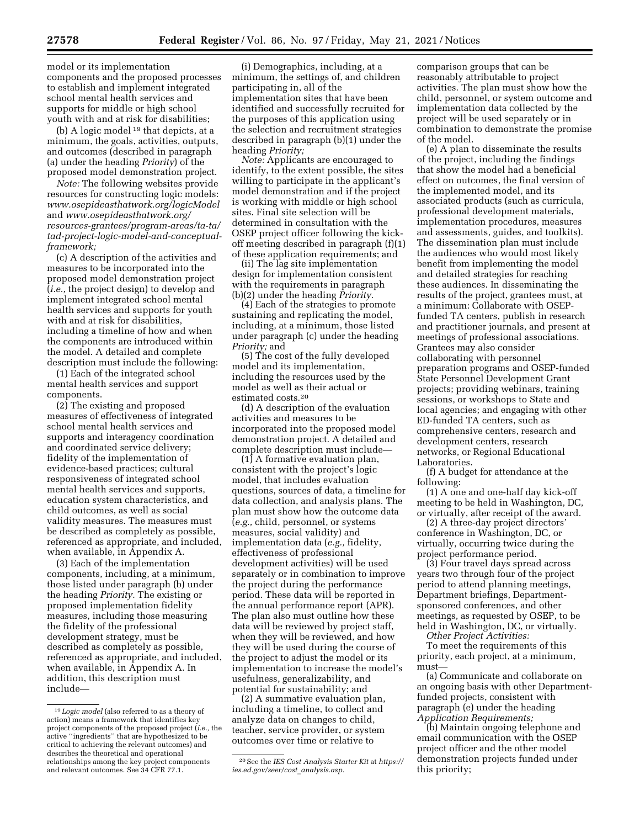model or its implementation components and the proposed processes to establish and implement integrated school mental health services and supports for middle or high school youth with and at risk for disabilities;

(b) A logic model 19 that depicts, at a minimum, the goals, activities, outputs, and outcomes (described in paragraph (a) under the heading *Priority*) of the proposed model demonstration project.

*Note:* The following websites provide resources for constructing logic models: *[www.osepideasthatwork.org/logicModel](http://www.osepideasthatwork.org/logicModel)*  and *[www.osepideasthatwork.org/](https://www.osepideasthatwork.org/resources-grantees/program-areas/ta-ta/tad-project-logic-model-and-conceptual-framework)  [resources-grantees/program-areas/ta-ta/](https://www.osepideasthatwork.org/resources-grantees/program-areas/ta-ta/tad-project-logic-model-and-conceptual-framework)  [tad-project-logic-model-and-conceptual](https://www.osepideasthatwork.org/resources-grantees/program-areas/ta-ta/tad-project-logic-model-and-conceptual-framework)[framework;](https://www.osepideasthatwork.org/resources-grantees/program-areas/ta-ta/tad-project-logic-model-and-conceptual-framework)* 

(c) A description of the activities and measures to be incorporated into the proposed model demonstration project (*i.e.,* the project design) to develop and implement integrated school mental health services and supports for youth with and at risk for disabilities, including a timeline of how and when the components are introduced within the model. A detailed and complete description must include the following:

(1) Each of the integrated school mental health services and support components.

(2) The existing and proposed measures of effectiveness of integrated school mental health services and supports and interagency coordination and coordinated service delivery; fidelity of the implementation of evidence-based practices; cultural responsiveness of integrated school mental health services and supports, education system characteristics, and child outcomes, as well as social validity measures. The measures must be described as completely as possible, referenced as appropriate, and included, when available, in Appendix A.

(3) Each of the implementation components, including, at a minimum, those listed under paragraph (b) under the heading *Priority.* The existing or proposed implementation fidelity measures, including those measuring the fidelity of the professional development strategy, must be described as completely as possible, referenced as appropriate, and included, when available, in Appendix A. In addition, this description must include—

(i) Demographics, including, at a minimum, the settings of, and children participating in, all of the implementation sites that have been identified and successfully recruited for the purposes of this application using the selection and recruitment strategies described in paragraph (b)(1) under the heading *Priority;* 

*Note:* Applicants are encouraged to identify, to the extent possible, the sites willing to participate in the applicant's model demonstration and if the project is working with middle or high school sites. Final site selection will be determined in consultation with the OSEP project officer following the kickoff meeting described in paragraph (f)(1) of these application requirements; and

(ii) The lag site implementation design for implementation consistent with the requirements in paragraph (b)(2) under the heading *Priority.* 

(4) Each of the strategies to promote sustaining and replicating the model, including, at a minimum, those listed under paragraph (c) under the heading *Priority;* and

(5) The cost of the fully developed model and its implementation, including the resources used by the model as well as their actual or estimated costs.20

(d) A description of the evaluation activities and measures to be incorporated into the proposed model demonstration project. A detailed and complete description must include—

(1) A formative evaluation plan, consistent with the project's logic model, that includes evaluation questions, sources of data, a timeline for data collection, and analysis plans. The plan must show how the outcome data (*e.g.,* child, personnel, or systems measures, social validity) and implementation data (*e.g.,* fidelity, effectiveness of professional development activities) will be used separately or in combination to improve the project during the performance period. These data will be reported in the annual performance report (APR). The plan also must outline how these data will be reviewed by project staff, when they will be reviewed, and how they will be used during the course of the project to adjust the model or its implementation to increase the model's usefulness, generalizability, and potential for sustainability; and

(2) A summative evaluation plan, including a timeline, to collect and analyze data on changes to child, teacher, service provider, or system outcomes over time or relative to

comparison groups that can be reasonably attributable to project activities. The plan must show how the child, personnel, or system outcome and implementation data collected by the project will be used separately or in combination to demonstrate the promise of the model.

(e) A plan to disseminate the results of the project, including the findings that show the model had a beneficial effect on outcomes, the final version of the implemented model, and its associated products (such as curricula, professional development materials, implementation procedures, measures and assessments, guides, and toolkits). The dissemination plan must include the audiences who would most likely benefit from implementing the model and detailed strategies for reaching these audiences. In disseminating the results of the project, grantees must, at a minimum: Collaborate with OSEPfunded TA centers, publish in research and practitioner journals, and present at meetings of professional associations. Grantees may also consider collaborating with personnel preparation programs and OSEP-funded State Personnel Development Grant projects; providing webinars, training sessions, or workshops to State and local agencies; and engaging with other ED-funded TA centers, such as comprehensive centers, research and development centers, research networks, or Regional Educational Laboratories.

(f) A budget for attendance at the following:

(1) A one and one-half day kick-off meeting to be held in Washington, DC, or virtually, after receipt of the award.

(2) A three-day project directors' conference in Washington, DC, or virtually, occurring twice during the project performance period.

(3) Four travel days spread across years two through four of the project period to attend planning meetings, Department briefings, Departmentsponsored conferences, and other meetings, as requested by OSEP, to be held in Washington, DC, or virtually.

*Other Project Activities:* 

To meet the requirements of this priority, each project, at a minimum, must—

(a) Communicate and collaborate on an ongoing basis with other Departmentfunded projects, consistent with paragraph (e) under the heading *Application Requirements;* 

(b) Maintain ongoing telephone and email communication with the OSEP project officer and the other model demonstration projects funded under this priority;

<sup>19</sup> *Logic model* (also referred to as a theory of action) means a framework that identifies key project components of the proposed project (*i.e.,* the active ''ingredients'' that are hypothesized to be critical to achieving the relevant outcomes) and describes the theoretical and operational relationships among the key project components and relevant outcomes. See 34 CFR 77.1.

<sup>20</sup>See the *IES Cost Analysis Starter Kit* at *[https://](https://ies.ed.gov/seer/cost_analysis.asp) [ies.ed.gov/seer/cost](https://ies.ed.gov/seer/cost_analysis.asp)*\_*analysis.asp.*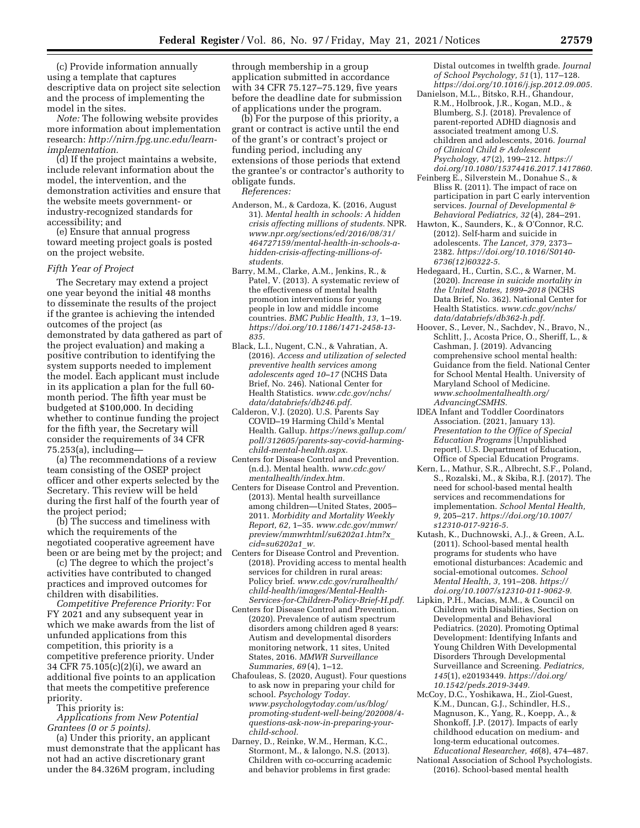(c) Provide information annually using a template that captures descriptive data on project site selection and the process of implementing the model in the sites.

*Note:* The following website provides more information about implementation research: *[http://nirn.fpg.unc.edu/learn](http://nirn.fpg.unc.edu/learn-implementation)[implementation.](http://nirn.fpg.unc.edu/learn-implementation)* 

(d) If the project maintains a website, include relevant information about the model, the intervention, and the demonstration activities and ensure that the website meets government- or industry-recognized standards for accessibility; and

(e) Ensure that annual progress toward meeting project goals is posted on the project website.

## *Fifth Year of Project*

The Secretary may extend a project one year beyond the initial 48 months to disseminate the results of the project if the grantee is achieving the intended outcomes of the project (as demonstrated by data gathered as part of the project evaluation) and making a positive contribution to identifying the system supports needed to implement the model. Each applicant must include in its application a plan for the full 60 month period. The fifth year must be budgeted at \$100,000. In deciding whether to continue funding the project for the fifth year, the Secretary will consider the requirements of 34 CFR 75.253(a), including—

(a) The recommendations of a review team consisting of the OSEP project officer and other experts selected by the Secretary. This review will be held during the first half of the fourth year of the project period;

(b) The success and timeliness with which the requirements of the negotiated cooperative agreement have been or are being met by the project; and

(c) The degree to which the project's activities have contributed to changed practices and improved outcomes for children with disabilities.

*Competitive Preference Priority:* For FY 2021 and any subsequent year in which we make awards from the list of unfunded applications from this competition, this priority is a competitive preference priority. Under 34 CFR 75.105(c)(2)(i), we award an additional five points to an application that meets the competitive preference priority.

This priority is:

*Applications from New Potential Grantees (0 or 5 points).* 

(a) Under this priority, an applicant must demonstrate that the applicant has not had an active discretionary grant under the 84.326M program, including

through membership in a group application submitted in accordance with 34 CFR 75.127–75.129, five years before the deadline date for submission of applications under the program.

(b) For the purpose of this priority, a grant or contract is active until the end of the grant's or contract's project or funding period, including any extensions of those periods that extend the grantee's or contractor's authority to obligate funds.

*References:* 

- Anderson, M., & Cardoza, K. (2016, August 31). *Mental health in schools: A hidden crisis affecting millions of students.* NPR. *[www.npr.org/sections/ed/2016/08/31/](https://www.npr.org/sections/ed/2016/08/31/464727159/mental-health-in-schools-a-hidden-crisis-affecting-millions-of-students)  [464727159/mental-health-in-schools-a](https://www.npr.org/sections/ed/2016/08/31/464727159/mental-health-in-schools-a-hidden-crisis-affecting-millions-of-students)[hidden-crisis-affecting-millions-of](https://www.npr.org/sections/ed/2016/08/31/464727159/mental-health-in-schools-a-hidden-crisis-affecting-millions-of-students)[students.](https://www.npr.org/sections/ed/2016/08/31/464727159/mental-health-in-schools-a-hidden-crisis-affecting-millions-of-students)*
- Barry, M.M., Clarke, A.M., Jenkins, R., & Patel, V. (2013). A systematic review of the effectiveness of mental health promotion interventions for young people in low and middle income countries. *BMC Public Health, 13,* 1–19. *[https://doi.org/10.1186/1471-2458-13-](https://doi.org/10.1186/1471-2458-13-835) [835.](https://doi.org/10.1186/1471-2458-13-835)*
- Black, L.I., Nugent, C.N., & Vahratian, A. (2016). *Access and utilization of selected preventive health services among adolescents aged 10–17* (NCHS Data Brief, No. 246). National Center for Health Statistics. *[www.cdc.gov/nchs/](http://www.cdc.gov/nchs/data/databriefs/db246.pdf) [data/databriefs/db246.pdf.](http://www.cdc.gov/nchs/data/databriefs/db246.pdf)*
- Calderon, V.J. (2020). U.S. Parents Say COVID–19 Harming Child's Mental Health. Gallup. *[https://news.gallup.com/](https://news.gallup.com/poll/312605/parents-say-covid-harming-child-mental-health.aspx) [poll/312605/parents-say-covid-harming](https://news.gallup.com/poll/312605/parents-say-covid-harming-child-mental-health.aspx)[child-mental-health.aspx.](https://news.gallup.com/poll/312605/parents-say-covid-harming-child-mental-health.aspx)*
- Centers for Disease Control and Prevention. (n.d.). Mental health. *[www.cdc.gov/](http://www.cdc.gov/mentalhealth/index.htm)  [mentalhealth/index.htm.](http://www.cdc.gov/mentalhealth/index.htm)*
- Centers for Disease Control and Prevention. (2013). Mental health surveillance among children—United States, 2005– 2011. *Morbidity and Mortality Weekly Report, 62,* 1–35. *[www.cdc.gov/mmwr/](http://www.cdc.gov/mmwr/preview/mmwrhtml/su6202a1.htm?x_cid=su6202a1_w) [preview/mmwrhtml/su6202a1.htm?x](http://www.cdc.gov/mmwr/preview/mmwrhtml/su6202a1.htm?x_cid=su6202a1_w)*\_ *[cid=su6202a1](http://www.cdc.gov/mmwr/preview/mmwrhtml/su6202a1.htm?x_cid=su6202a1_w)*\_*w.*
- Centers for Disease Control and Prevention. (2018). Providing access to mental health services for children in rural areas: Policy brief. *[www.cdc.gov/ruralhealth/](http://www.cdc.gov/ruralhealth/child-health/images/Mental-Health-Services-for-Children-Policy-Brief-H.pdf) [child-health/images/Mental-Health-](http://www.cdc.gov/ruralhealth/child-health/images/Mental-Health-Services-for-Children-Policy-Brief-H.pdf)[Services-for-Children-Policy-Brief-H.pdf.](http://www.cdc.gov/ruralhealth/child-health/images/Mental-Health-Services-for-Children-Policy-Brief-H.pdf)*
- Centers for Disease Control and Prevention. (2020). Prevalence of autism spectrum disorders among children aged 8 years: Autism and developmental disorders monitoring network, 11 sites, United States, 2016. *MMWR Surveillance Summaries, 69* (4), 1–12.
- Chafouleas, S. (2020, August). Four questions to ask now in preparing your child for school. *Psychology Today. [www.psychologytoday.com/us/blog/](http://www.psychologytoday.com/us/blog/promoting-student-well-being/202008/4-questions-ask-now-in-preparing-your-child-school) [promoting-student-well-being/202008/4](http://www.psychologytoday.com/us/blog/promoting-student-well-being/202008/4-questions-ask-now-in-preparing-your-child-school)  [questions-ask-now-in-preparing-your](http://www.psychologytoday.com/us/blog/promoting-student-well-being/202008/4-questions-ask-now-in-preparing-your-child-school)[child-school.](http://www.psychologytoday.com/us/blog/promoting-student-well-being/202008/4-questions-ask-now-in-preparing-your-child-school)*
- Darney, D., Reinke, W.M., Herman, K.C., Stormont, M., & Ialongo, N.S. (2013). Children with co-occurring academic and behavior problems in first grade:

Distal outcomes in twelfth grade. *Journal of School Psychology, 51* (1), 117–128. *[https://doi.org/10.1016/j.jsp.2012.09.005.](https://doi.org/10.1016/j.jsp.2012.09.005)* 

- Danielson, M.L., Bitsko, R.H., Ghandour, R.M., Holbrook, J.R., Kogan, M.D., & Blumberg, S.J. (2018). Prevalence of parent-reported ADHD diagnosis and associated treatment among U.S. children and adolescents, 2016. *Journal of Clinical Child & Adolescent Psychology, 47* (2), 199–212. *[https://](https://doi.org/10.1080/15374416.2017.1417860) [doi.org/10.1080/15374416.2017.1417860.](https://doi.org/10.1080/15374416.2017.1417860)*
- Feinberg E., Silverstein M., Donahue S., & Bliss R. (2011). The impact of race on participation in part C early intervention services. *Journal of Developmental & Behavioral Pediatrics, 32* (4), 284–291.
- Hawton, K., Saunders, K., & O'Connor, R.C. (2012). Self-harm and suicide in adolescents. *The Lancet, 379,* 2373– 2382. *[https://doi.org/10.1016/S0140-](https://doi.org/10.1016/S0140-6736(12)60322-5)  [6736\(12\)60322-5.](https://doi.org/10.1016/S0140-6736(12)60322-5)*
- Hedegaard, H., Curtin, S.C., & Warner, M. (2020). *Increase in suicide mortality in the United States, 1999–2018* (NCHS Data Brief, No. 362). National Center for Health Statistics. *[www.cdc.gov/nchs/](http://www.cdc.gov/nchs/data/databriefs/db362-h.pdf) [data/databriefs/db362-h.pdf.](http://www.cdc.gov/nchs/data/databriefs/db362-h.pdf)*
- Hoover, S., Lever, N., Sachdev, N., Bravo, N., Schlitt, J., Acosta Price, O., Sheriff, L., & Cashman, J. (2019). Advancing comprehensive school mental health: Guidance from the field. National Center for School Mental Health. University of Maryland School of Medicine. *[www.schoolmentalhealth.org/](http://www.schoolmentalhealth.org/AdvancingCSMHS) [AdvancingCSMHS.](http://www.schoolmentalhealth.org/AdvancingCSMHS)*
- IDEA Infant and Toddler Coordinators Association. (2021, January 13). *Presentation to the Office of Special Education Programs* [Unpublished report]. U.S. Department of Education, Office of Special Education Programs.
- Kern, L., Mathur, S.R., Albrecht, S.F., Poland, S., Rozalski, M., & Skiba, R.J. (2017). The need for school-based mental health services and recommendations for implementation. *School Mental Health, 9,* 205–217. *[https://doi.org/10.1007/](https://doi.org/10.1007/s12310-017-9216-5) [s12310-017-9216-5.](https://doi.org/10.1007/s12310-017-9216-5)*
- Kutash, K., Duchnowski, A.J., & Green, A.L. (2011). School-based mental health programs for students who have emotional disturbances: Academic and social-emotional outcomes. *School Mental Health, 3,* 191–208. *[https://](https://doi.org/10.1007/s12310-011-9062-9) [doi.org/10.1007/s12310-011-9062-9.](https://doi.org/10.1007/s12310-011-9062-9)*
- Lipkin, P.H., Macias, M.M., & Council on Children with Disabilities, Section on Developmental and Behavioral Pediatrics. (2020). Promoting Optimal Development: Identifying Infants and Young Children With Developmental Disorders Through Developmental Surveillance and Screening. *Pediatrics, 145*(1), e20193449. *[https://doi.org/](https://doi.org/10.1542/peds.2019-3449) [10.1542/peds.2019-3449.](https://doi.org/10.1542/peds.2019-3449)*
- McCoy, D.C., Yoshikawa, H., Ziol-Guest, K.M., Duncan, G.J., Schindler, H.S., Magnuson, K., Yang, R., Koepp, A., & Shonkoff, J.P. (2017). Impacts of early childhood education on medium- and long-term educational outcomes. *Educational Researcher, 46*(8), 474–487.
- National Association of School Psychologists. (2016). School-based mental health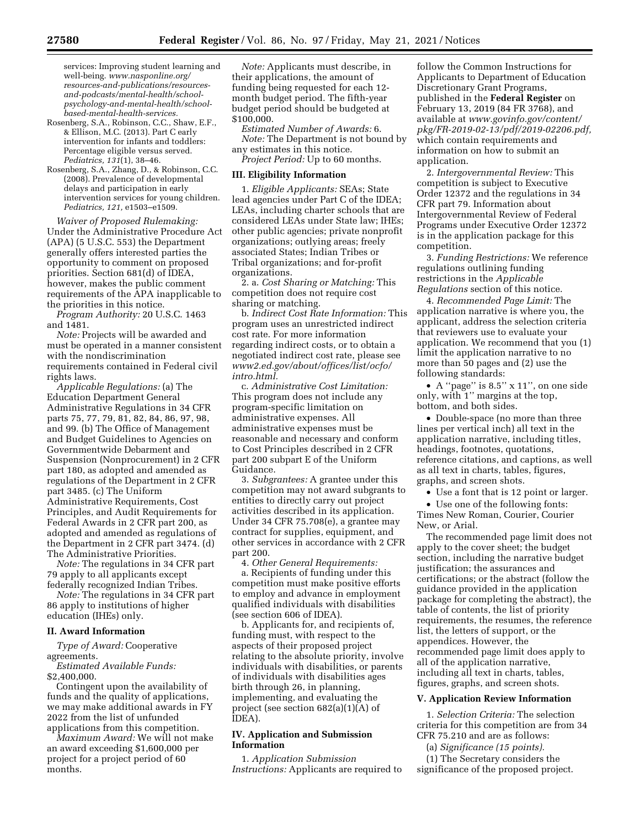services: Improving student learning and well-being. *[www.nasponline.org/](https://www.nasponline.org/resources-and-publications/resources-and-podcasts/mental-health/school-psychology-and-mental-health/school-based-mental-health-services)  [resources-and-publications/resources](https://www.nasponline.org/resources-and-publications/resources-and-podcasts/mental-health/school-psychology-and-mental-health/school-based-mental-health-services)[and-podcasts/mental-health/school](https://www.nasponline.org/resources-and-publications/resources-and-podcasts/mental-health/school-psychology-and-mental-health/school-based-mental-health-services)[psychology-and-mental-health/school](https://www.nasponline.org/resources-and-publications/resources-and-podcasts/mental-health/school-psychology-and-mental-health/school-based-mental-health-services)[based-mental-health-services.](https://www.nasponline.org/resources-and-publications/resources-and-podcasts/mental-health/school-psychology-and-mental-health/school-based-mental-health-services)* 

- Rosenberg, S.A., Robinson, C.C., Shaw, E.F., & Ellison, M.C. (2013). Part C early intervention for infants and toddlers: Percentage eligible versus served. *Pediatrics, 131*(1), 38–46.
- Rosenberg, S.A., Zhang, D., & Robinson, C.C. (2008). Prevalence of developmental delays and participation in early intervention services for young children. *Pediatrics, 121,* e1503–e1509.

*Waiver of Proposed Rulemaking:*  Under the Administrative Procedure Act (APA) (5 U.S.C. 553) the Department generally offers interested parties the opportunity to comment on proposed priorities. Section 681(d) of IDEA, however, makes the public comment requirements of the APA inapplicable to the priorities in this notice.

*Program Authority:* 20 U.S.C. 1463 and 1481.

*Note:* Projects will be awarded and must be operated in a manner consistent with the nondiscrimination requirements contained in Federal civil rights laws.

*Applicable Regulations:* (a) The Education Department General Administrative Regulations in 34 CFR parts 75, 77, 79, 81, 82, 84, 86, 97, 98, and 99. (b) The Office of Management and Budget Guidelines to Agencies on Governmentwide Debarment and Suspension (Nonprocurement) in 2 CFR part 180, as adopted and amended as regulations of the Department in 2 CFR part 3485. (c) The Uniform Administrative Requirements, Cost Principles, and Audit Requirements for Federal Awards in 2 CFR part 200, as adopted and amended as regulations of the Department in 2 CFR part 3474. (d) The Administrative Priorities.

*Note:* The regulations in 34 CFR part 79 apply to all applicants except federally recognized Indian Tribes.

*Note:* The regulations in 34 CFR part 86 apply to institutions of higher education (IHEs) only.

# **II. Award Information**

*Type of Award:* Cooperative agreements.

*Estimated Available Funds:*  \$2,400,000.

Contingent upon the availability of funds and the quality of applications, we may make additional awards in FY 2022 from the list of unfunded applications from this competition.

*Maximum Award:* We will not make an award exceeding \$1,600,000 per project for a project period of 60 months.

*Note:* Applicants must describe, in their applications, the amount of funding being requested for each 12 month budget period. The fifth-year budget period should be budgeted at \$100,000.

*Estimated Number of Awards:* 6. *Note:* The Department is not bound by

any estimates in this notice.

*Project Period:* Up to 60 months.

# **III. Eligibility Information**

1. *Eligible Applicants:* SEAs; State lead agencies under Part C of the IDEA; LEAs, including charter schools that are considered LEAs under State law; IHEs; other public agencies; private nonprofit organizations; outlying areas; freely associated States; Indian Tribes or Tribal organizations; and for-profit organizations.

2. a. *Cost Sharing or Matching:* This competition does not require cost sharing or matching.

b. *Indirect Cost Rate Information:* This program uses an unrestricted indirect cost rate. For more information regarding indirect costs, or to obtain a negotiated indirect cost rate, please see *[www2.ed.gov/about/offices/list/ocfo/](http://www2.ed.gov/about/offices/list/ocfo/intro.html)  [intro.html.](http://www2.ed.gov/about/offices/list/ocfo/intro.html)* 

c. *Administrative Cost Limitation:*  This program does not include any program-specific limitation on administrative expenses. All administrative expenses must be reasonable and necessary and conform to Cost Principles described in 2 CFR part 200 subpart E of the Uniform Guidance.

3. *Subgrantees:* A grantee under this competition may not award subgrants to entities to directly carry out project activities described in its application. Under 34 CFR 75.708(e), a grantee may contract for supplies, equipment, and other services in accordance with 2 CFR part 200.

4. *Other General Requirements:*  a. Recipients of funding under this competition must make positive efforts to employ and advance in employment qualified individuals with disabilities (see section 606 of IDEA).

b. Applicants for, and recipients of, funding must, with respect to the aspects of their proposed project relating to the absolute priority, involve individuals with disabilities, or parents of individuals with disabilities ages birth through 26, in planning, implementing, and evaluating the project (see section 682(a)(1)(A) of IDEA).

## **IV. Application and Submission Information**

1. *Application Submission Instructions:* Applicants are required to follow the Common Instructions for Applicants to Department of Education Discretionary Grant Programs, published in the **Federal Register** on February 13, 2019 (84 FR 3768), and available at *[www.govinfo.gov/content/](http://www.govinfo.gov/content/pkg/FR-2019-02-13/pdf/2019-02206.pdf)  [pkg/FR-2019-02-13/pdf/2019-02206.pdf,](http://www.govinfo.gov/content/pkg/FR-2019-02-13/pdf/2019-02206.pdf)*  which contain requirements and information on how to submit an application.

2. *Intergovernmental Review:* This competition is subject to Executive Order 12372 and the regulations in 34 CFR part 79. Information about Intergovernmental Review of Federal Programs under Executive Order 12372 is in the application package for this competition.

3. *Funding Restrictions:* We reference regulations outlining funding restrictions in the *Applicable Regulations* section of this notice.

4. *Recommended Page Limit:* The application narrative is where you, the applicant, address the selection criteria that reviewers use to evaluate your application. We recommend that you (1) limit the application narrative to no more than 50 pages and (2) use the following standards:

• A ''page'' is 8.5'' x 11'', on one side only, with 1'' margins at the top, bottom, and both sides.

• Double-space (no more than three lines per vertical inch) all text in the application narrative, including titles, headings, footnotes, quotations, reference citations, and captions, as well as all text in charts, tables, figures, graphs, and screen shots.

• Use a font that is 12 point or larger.

• Use one of the following fonts: Times New Roman, Courier, Courier New, or Arial.

The recommended page limit does not apply to the cover sheet; the budget section, including the narrative budget justification; the assurances and certifications; or the abstract (follow the guidance provided in the application package for completing the abstract), the table of contents, the list of priority requirements, the resumes, the reference list, the letters of support, or the appendices. However, the recommended page limit does apply to all of the application narrative, including all text in charts, tables, figures, graphs, and screen shots.

#### **V. Application Review Information**

1. *Selection Criteria:* The selection criteria for this competition are from 34 CFR 75.210 and are as follows:

(a) *Significance (15 points).* 

(1) The Secretary considers the significance of the proposed project.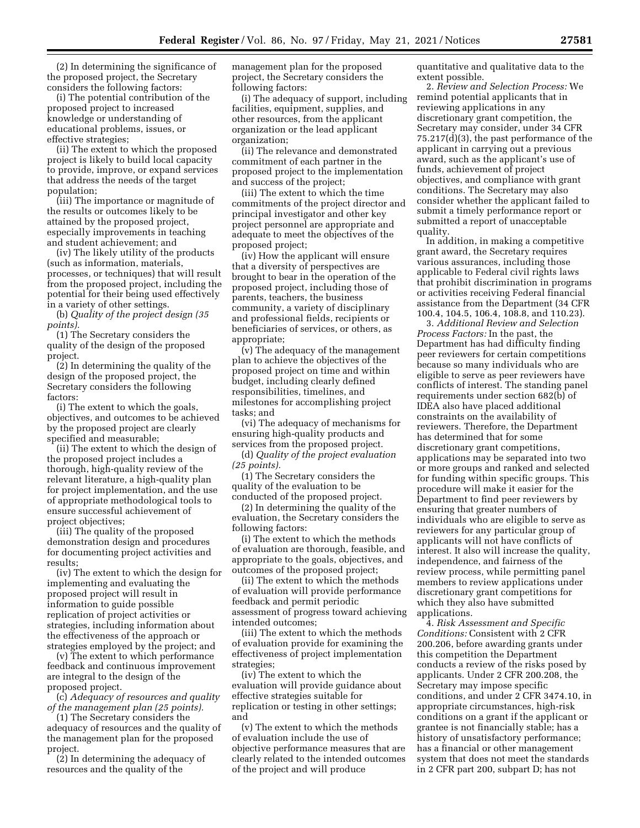(2) In determining the significance of the proposed project, the Secretary considers the following factors:

(i) The potential contribution of the proposed project to increased knowledge or understanding of educational problems, issues, or effective strategies;

(ii) The extent to which the proposed project is likely to build local capacity to provide, improve, or expand services that address the needs of the target population;

(iii) The importance or magnitude of the results or outcomes likely to be attained by the proposed project, especially improvements in teaching and student achievement; and

(iv) The likely utility of the products (such as information, materials, processes, or techniques) that will result from the proposed project, including the potential for their being used effectively in a variety of other settings.

(b) *Quality of the project design (35 points).* 

(1) The Secretary considers the quality of the design of the proposed project.

(2) In determining the quality of the design of the proposed project, the Secretary considers the following factors:

(i) The extent to which the goals, objectives, and outcomes to be achieved by the proposed project are clearly specified and measurable;

(ii) The extent to which the design of the proposed project includes a thorough, high-quality review of the relevant literature, a high-quality plan for project implementation, and the use of appropriate methodological tools to ensure successful achievement of project objectives;

(iii) The quality of the proposed demonstration design and procedures for documenting project activities and results;

(iv) The extent to which the design for implementing and evaluating the proposed project will result in information to guide possible replication of project activities or strategies, including information about the effectiveness of the approach or strategies employed by the project; and

(v) The extent to which performance feedback and continuous improvement are integral to the design of the proposed project.

(c) *Adequacy of resources and quality of the management plan (25 points).* 

(1) The Secretary considers the adequacy of resources and the quality of

the management plan for the proposed project.

(2) In determining the adequacy of resources and the quality of the

management plan for the proposed project, the Secretary considers the following factors:

(i) The adequacy of support, including facilities, equipment, supplies, and other resources, from the applicant organization or the lead applicant organization;

(ii) The relevance and demonstrated commitment of each partner in the proposed project to the implementation and success of the project;

(iii) The extent to which the time commitments of the project director and principal investigator and other key project personnel are appropriate and adequate to meet the objectives of the proposed project;

(iv) How the applicant will ensure that a diversity of perspectives are brought to bear in the operation of the proposed project, including those of parents, teachers, the business community, a variety of disciplinary and professional fields, recipients or beneficiaries of services, or others, as appropriate;

(v) The adequacy of the management plan to achieve the objectives of the proposed project on time and within budget, including clearly defined responsibilities, timelines, and milestones for accomplishing project tasks; and

(vi) The adequacy of mechanisms for ensuring high-quality products and services from the proposed project.

(d) *Quality of the project evaluation (25 points).* 

(1) The Secretary considers the quality of the evaluation to be conducted of the proposed project.

(2) In determining the quality of the evaluation, the Secretary considers the following factors:

(i) The extent to which the methods of evaluation are thorough, feasible, and appropriate to the goals, objectives, and outcomes of the proposed project;

(ii) The extent to which the methods of evaluation will provide performance feedback and permit periodic assessment of progress toward achieving intended outcomes;

(iii) The extent to which the methods of evaluation provide for examining the effectiveness of project implementation strategies;

(iv) The extent to which the evaluation will provide guidance about effective strategies suitable for replication or testing in other settings; and

(v) The extent to which the methods of evaluation include the use of objective performance measures that are clearly related to the intended outcomes of the project and will produce

quantitative and qualitative data to the extent possible.

2. *Review and Selection Process:* We remind potential applicants that in reviewing applications in any discretionary grant competition, the Secretary may consider, under 34 CFR 75.217(d)(3), the past performance of the applicant in carrying out a previous award, such as the applicant's use of funds, achievement of project objectives, and compliance with grant conditions. The Secretary may also consider whether the applicant failed to submit a timely performance report or submitted a report of unacceptable quality.

In addition, in making a competitive grant award, the Secretary requires various assurances, including those applicable to Federal civil rights laws that prohibit discrimination in programs or activities receiving Federal financial assistance from the Department (34 CFR 100.4, 104.5, 106.4, 108.8, and 110.23).

3. *Additional Review and Selection Process Factors:* In the past, the Department has had difficulty finding peer reviewers for certain competitions because so many individuals who are eligible to serve as peer reviewers have conflicts of interest. The standing panel requirements under section 682(b) of IDEA also have placed additional constraints on the availability of reviewers. Therefore, the Department has determined that for some discretionary grant competitions, applications may be separated into two or more groups and ranked and selected for funding within specific groups. This procedure will make it easier for the Department to find peer reviewers by ensuring that greater numbers of individuals who are eligible to serve as reviewers for any particular group of applicants will not have conflicts of interest. It also will increase the quality, independence, and fairness of the review process, while permitting panel members to review applications under discretionary grant competitions for which they also have submitted applications.

4. *Risk Assessment and Specific Conditions:* Consistent with 2 CFR 200.206, before awarding grants under this competition the Department conducts a review of the risks posed by applicants. Under 2 CFR 200.208, the Secretary may impose specific conditions, and under 2 CFR 3474.10, in appropriate circumstances, high-risk conditions on a grant if the applicant or grantee is not financially stable; has a history of unsatisfactory performance; has a financial or other management system that does not meet the standards in 2 CFR part 200, subpart D; has not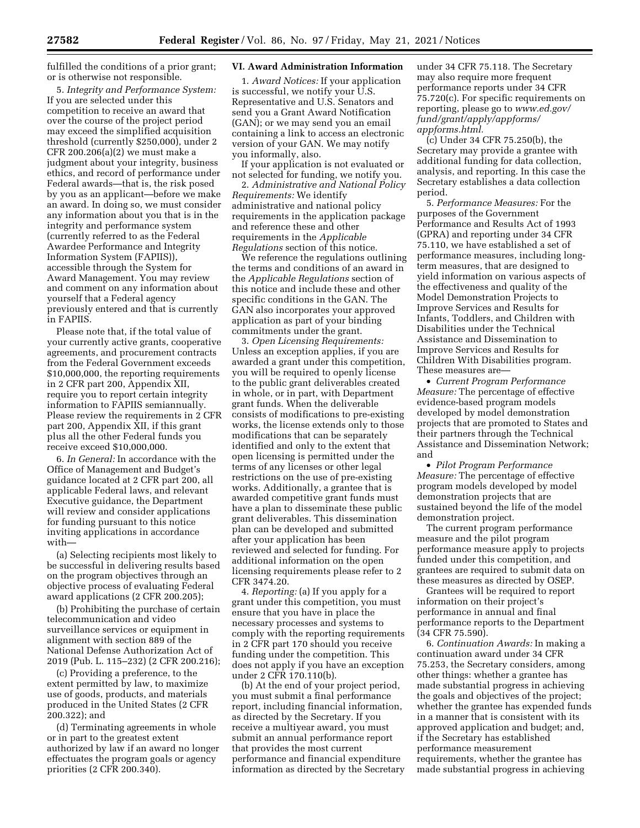fulfilled the conditions of a prior grant; or is otherwise not responsible.

5. *Integrity and Performance System:*  If you are selected under this competition to receive an award that over the course of the project period may exceed the simplified acquisition threshold (currently \$250,000), under 2 CFR 200.206(a)(2) we must make a judgment about your integrity, business ethics, and record of performance under Federal awards—that is, the risk posed by you as an applicant—before we make an award. In doing so, we must consider any information about you that is in the integrity and performance system (currently referred to as the Federal Awardee Performance and Integrity Information System (FAPIIS)), accessible through the System for Award Management. You may review and comment on any information about yourself that a Federal agency previously entered and that is currently in FAPIIS.

Please note that, if the total value of your currently active grants, cooperative agreements, and procurement contracts from the Federal Government exceeds \$10,000,000, the reporting requirements in 2 CFR part 200, Appendix XII, require you to report certain integrity information to FAPIIS semiannually. Please review the requirements in 2 CFR part 200, Appendix XII, if this grant plus all the other Federal funds you receive exceed \$10,000,000.

6. *In General:* In accordance with the Office of Management and Budget's guidance located at 2 CFR part 200, all applicable Federal laws, and relevant Executive guidance, the Department will review and consider applications for funding pursuant to this notice inviting applications in accordance with—

(a) Selecting recipients most likely to be successful in delivering results based on the program objectives through an objective process of evaluating Federal award applications (2 CFR 200.205);

(b) Prohibiting the purchase of certain telecommunication and video surveillance services or equipment in alignment with section 889 of the National Defense Authorization Act of 2019 (Pub. L. 115–232) (2 CFR 200.216);

(c) Providing a preference, to the extent permitted by law, to maximize use of goods, products, and materials produced in the United States (2 CFR 200.322); and

(d) Terminating agreements in whole or in part to the greatest extent authorized by law if an award no longer effectuates the program goals or agency priorities (2 CFR 200.340).

# **VI. Award Administration Information**

1. *Award Notices:* If your application is successful, we notify your U.S. Representative and U.S. Senators and send you a Grant Award Notification (GAN); or we may send you an email containing a link to access an electronic version of your GAN. We may notify you informally, also.

If your application is not evaluated or not selected for funding, we notify you.

2. *Administrative and National Policy Requirements:* We identify administrative and national policy requirements in the application package and reference these and other requirements in the *Applicable Regulations* section of this notice.

We reference the regulations outlining the terms and conditions of an award in the *Applicable Regulations* section of this notice and include these and other specific conditions in the GAN. The GAN also incorporates your approved application as part of your binding commitments under the grant.

3. *Open Licensing Requirements:*  Unless an exception applies, if you are awarded a grant under this competition, you will be required to openly license to the public grant deliverables created in whole, or in part, with Department grant funds. When the deliverable consists of modifications to pre-existing works, the license extends only to those modifications that can be separately identified and only to the extent that open licensing is permitted under the terms of any licenses or other legal restrictions on the use of pre-existing works. Additionally, a grantee that is awarded competitive grant funds must have a plan to disseminate these public grant deliverables. This dissemination plan can be developed and submitted after your application has been reviewed and selected for funding. For additional information on the open licensing requirements please refer to 2 CFR 3474.20.

4. *Reporting:* (a) If you apply for a grant under this competition, you must ensure that you have in place the necessary processes and systems to comply with the reporting requirements in 2 CFR part 170 should you receive funding under the competition. This does not apply if you have an exception under 2 CFR 170.110(b).

(b) At the end of your project period, you must submit a final performance report, including financial information, as directed by the Secretary. If you receive a multiyear award, you must submit an annual performance report that provides the most current performance and financial expenditure information as directed by the Secretary under 34 CFR 75.118. The Secretary may also require more frequent performance reports under 34 CFR 75.720(c). For specific requirements on reporting, please go to *[www.ed.gov/](http://www.ed.gov/fund/grant/apply/appforms/appforms.html) [fund/grant/apply/appforms/](http://www.ed.gov/fund/grant/apply/appforms/appforms.html) [appforms.html.](http://www.ed.gov/fund/grant/apply/appforms/appforms.html)* 

(c) Under 34 CFR 75.250(b), the Secretary may provide a grantee with additional funding for data collection, analysis, and reporting. In this case the Secretary establishes a data collection period.

5. *Performance Measures:* For the purposes of the Government Performance and Results Act of 1993 (GPRA) and reporting under 34 CFR 75.110, we have established a set of performance measures, including longterm measures, that are designed to yield information on various aspects of the effectiveness and quality of the Model Demonstration Projects to Improve Services and Results for Infants, Toddlers, and Children with Disabilities under the Technical Assistance and Dissemination to Improve Services and Results for Children With Disabilities program. These measures are—

• *Current Program Performance Measure:* The percentage of effective evidence-based program models developed by model demonstration projects that are promoted to States and their partners through the Technical Assistance and Dissemination Network; and

• *Pilot Program Performance Measure:* The percentage of effective program models developed by model demonstration projects that are sustained beyond the life of the model demonstration project.

The current program performance measure and the pilot program performance measure apply to projects funded under this competition, and grantees are required to submit data on these measures as directed by OSEP.

Grantees will be required to report information on their project's performance in annual and final performance reports to the Department (34 CFR 75.590).

6. *Continuation Awards:* In making a continuation award under 34 CFR 75.253, the Secretary considers, among other things: whether a grantee has made substantial progress in achieving the goals and objectives of the project; whether the grantee has expended funds in a manner that is consistent with its approved application and budget; and, if the Secretary has established performance measurement requirements, whether the grantee has made substantial progress in achieving